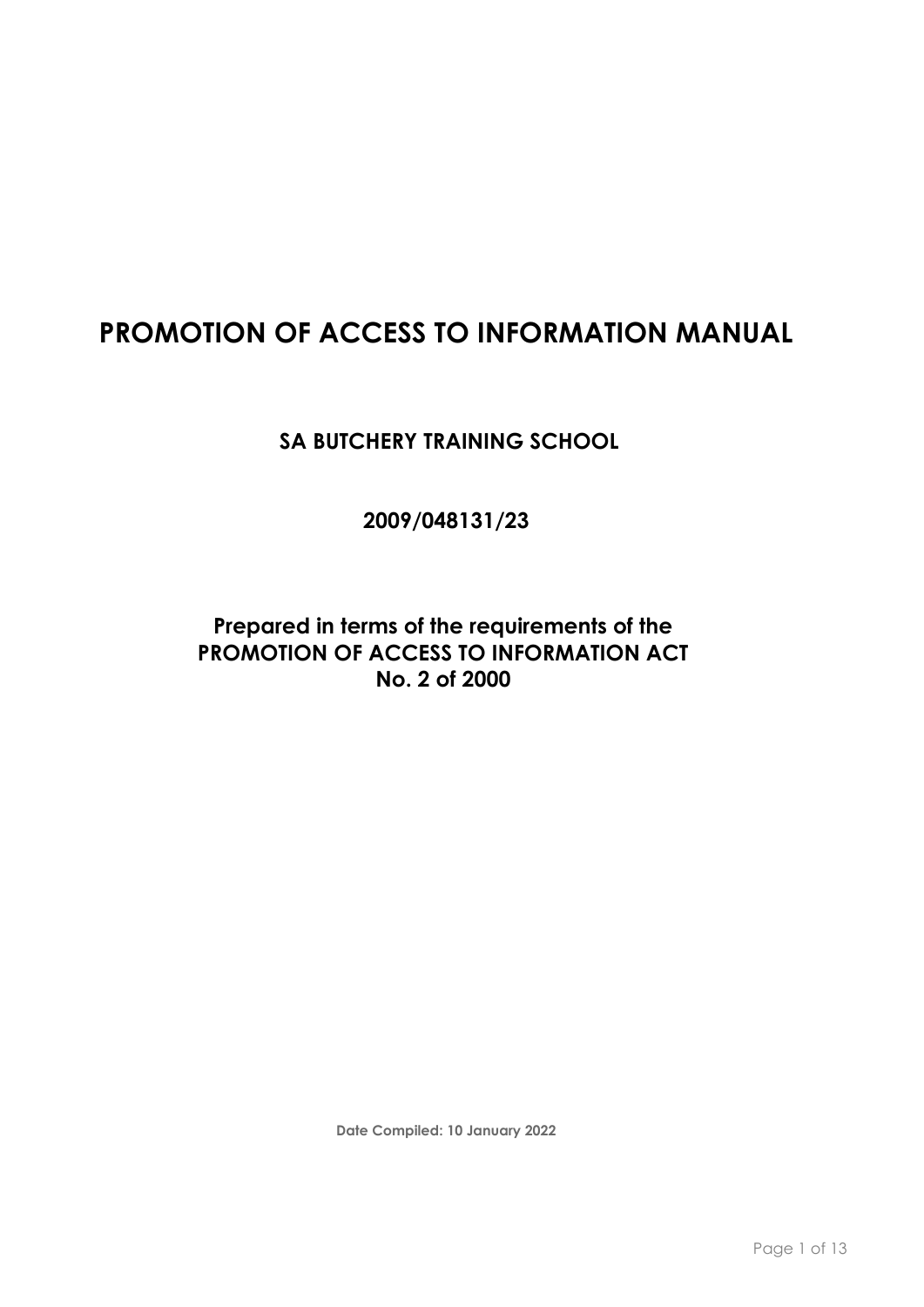# **PROMOTION OF ACCESS TO INFORMATION MANUAL**

**SA BUTCHERY TRAINING SCHOOL**

**2009/048131/23**

**Prepared in terms of the requirements of the PROMOTION OF ACCESS TO INFORMATION ACT No. 2 of 2000**

**Date Compiled: 10 January 2022**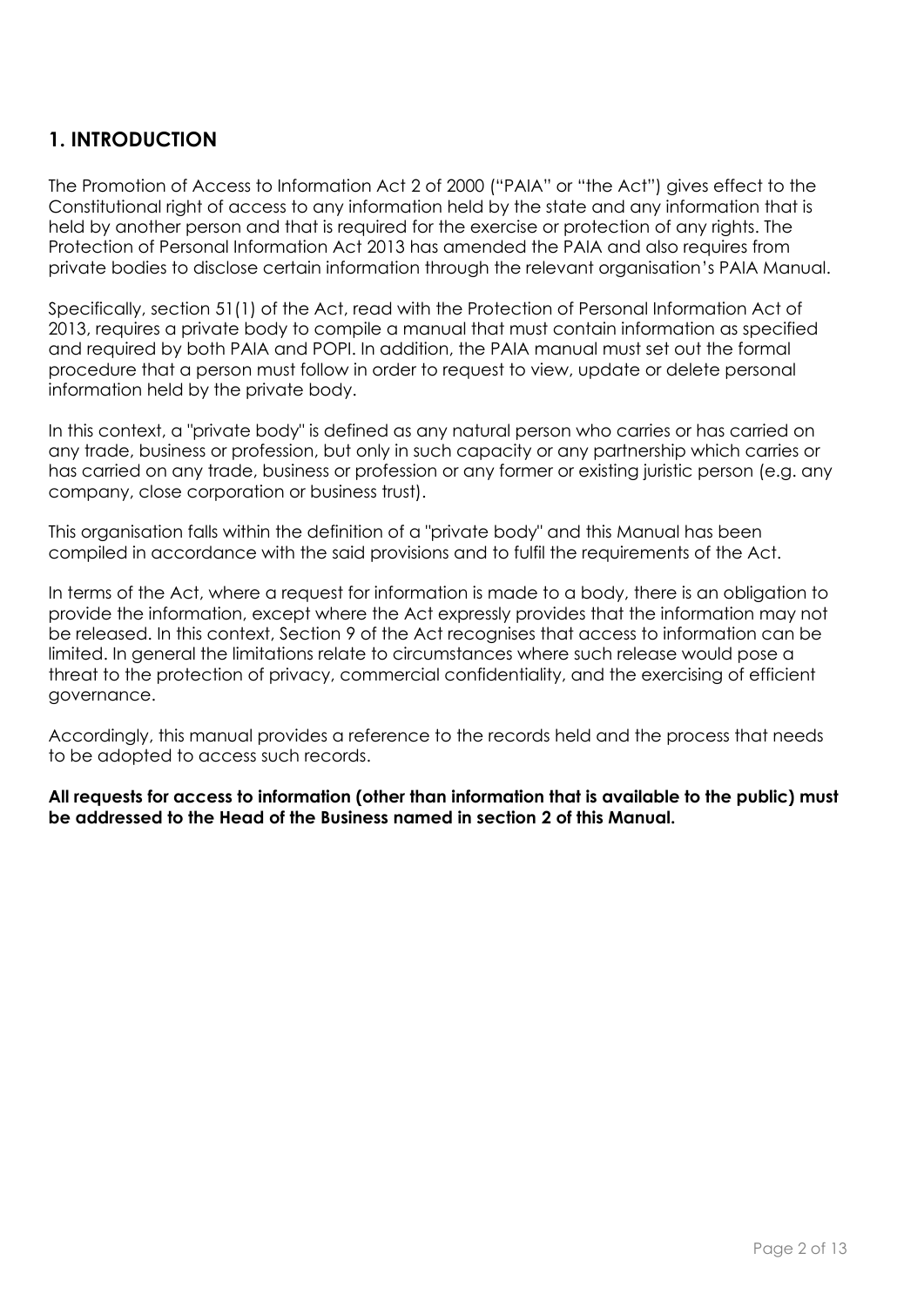## **1. INTRODUCTION**

The Promotion of Access to Information Act 2 of 2000 ("PAIA" or "the Act") gives effect to the Constitutional right of access to any information held by the state and any information that is held by another person and that is required for the exercise or protection of any rights. The Protection of Personal Information Act 2013 has amended the PAIA and also requires from private bodies to disclose certain information through the relevant organisation's PAIA Manual.

Specifically, section 51(1) of the Act, read with the Protection of Personal Information Act of 2013, requires a private body to compile a manual that must contain information as specified and required by both PAIA and POPI. In addition, the PAIA manual must set out the formal procedure that a person must follow in order to request to view, update or delete personal information held by the private body.

In this context, a "private body" is defined as any natural person who carries or has carried on any trade, business or profession, but only in such capacity or any partnership which carries or has carried on any trade, business or profession or any former or existing juristic person (e.g. any company, close corporation or business trust).

This organisation falls within the definition of a "private body" and this Manual has been compiled in accordance with the said provisions and to fulfil the requirements of the Act.

In terms of the Act, where a request for information is made to a body, there is an obligation to provide the information, except where the Act expressly provides that the information may not be released. In this context, Section 9 of the Act recognises that access to information can be limited. In general the limitations relate to circumstances where such release would pose a threat to the protection of privacy, commercial confidentiality, and the exercising of efficient governance.

Accordingly, this manual provides a reference to the records held and the process that needs to be adopted to access such records.

**All requests for access to information (other than information that is available to the public) must be addressed to the Head of the Business named in section 2 of this Manual.**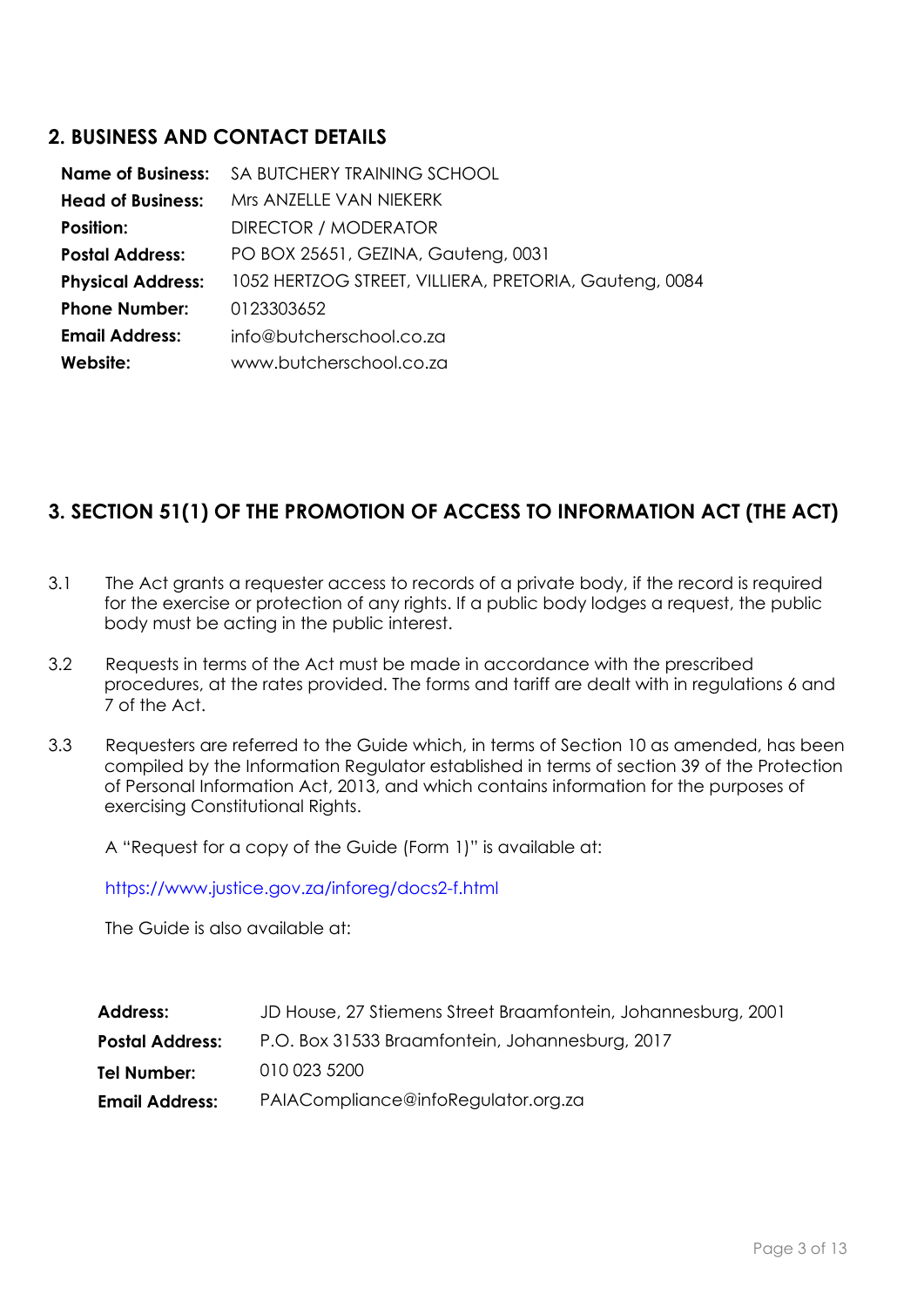### **2. BUSINESS AND CONTACT DETAILS**

| <b>Name of Business:</b> | SA BUTCHERY TRAINING SCHOOL                            |
|--------------------------|--------------------------------------------------------|
| <b>Head of Business:</b> | Mrs ANZELLE VAN NIEKERK                                |
| <b>Position:</b>         | DIRECTOR / MODERATOR                                   |
| <b>Postal Address:</b>   | PO BOX 25651, GEZINA, Gauteng, 0031                    |
| <b>Physical Address:</b> | 1052 HERTZOG STREET, VILLIERA, PRETORIA, Gauteng, 0084 |
| <b>Phone Number:</b>     | 0123303652                                             |
| <b>Email Address:</b>    | info@butcherschool.co.za                               |
| Website:                 | www.butcherschool.co.za                                |

## **3. SECTION 51(1) OF THE PROMOTION OF ACCESS TO INFORMATION ACT (THE ACT)**

- 3.1 The Act grants a requester access to records of a private body, if the record is required for the exercise or protection of any rights. If a public body lodges a request, the public body must be acting in the public interest.
- 3.2 Requests in terms of the Act must be made in accordance with the prescribed procedures, at the rates provided. The forms and tariff are dealt with in regulations 6 and 7 of the Act.
- 3.3 Requesters are referred to the Guide which, in terms of Section 10 as amended, has been compiled by the Information Regulator established in terms of section 39 of the Protection of Personal Information Act, 2013, and which contains information for the purposes of exercising Constitutional Rights.

A "Request for a copy of the Guide (Form 1)" is available at:

<https://www.justice.gov.za/inforeg/docs2-f.html>

The Guide is also available at:

| JD House, 27 Stiemens Street Braamfontein, Johannesburg, 2001 |
|---------------------------------------------------------------|
| P.O. Box 31533 Braamfontein, Johannesburg, 2017               |
| 010 023 5200                                                  |
| PAIACompliance@infoRegulator.org.za                           |
|                                                               |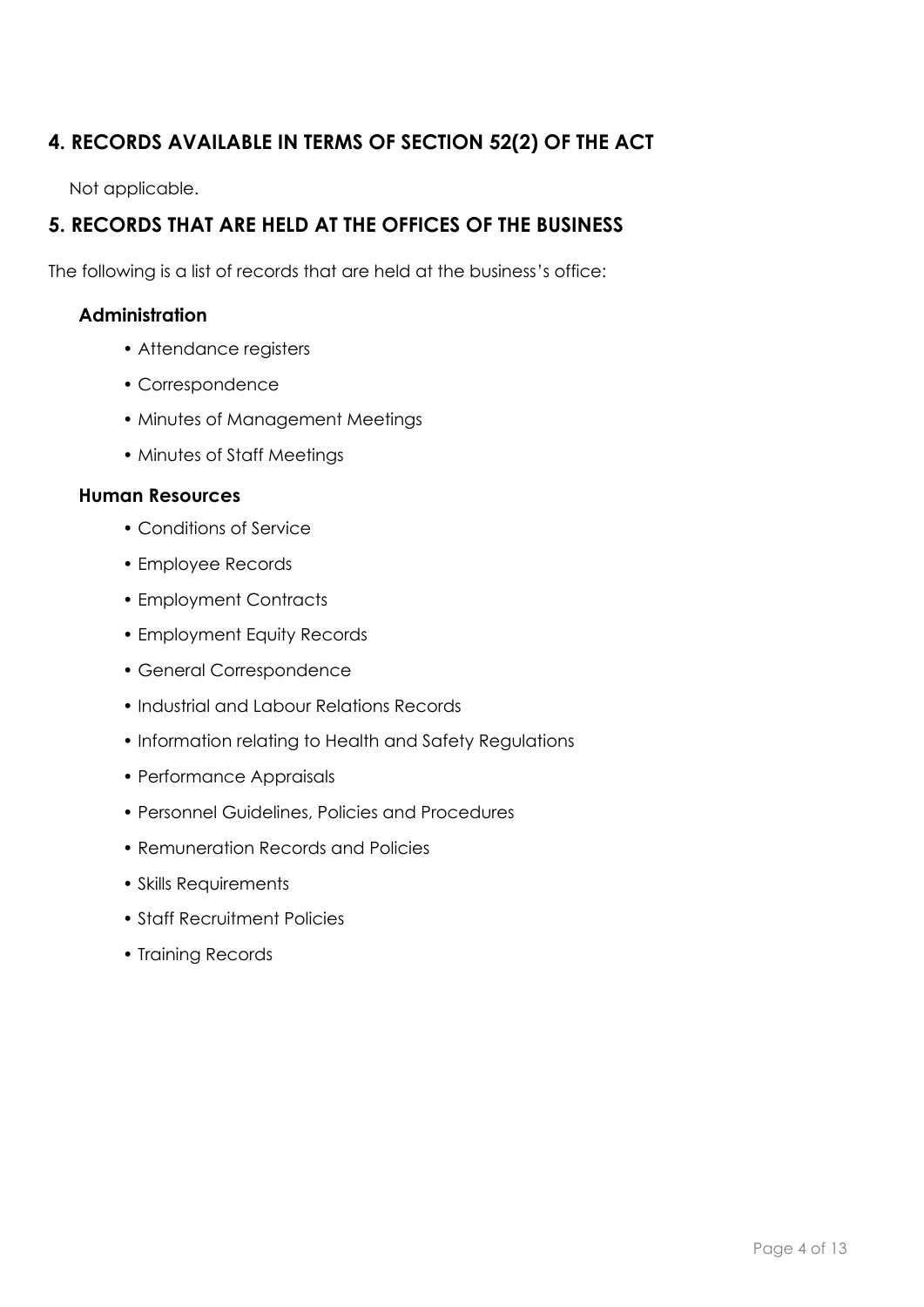## **4. RECORDS AVAILABLE IN TERMS OF SECTION 52(2) OF THE ACT**

Not applicable.

## **5. RECORDS THAT ARE HELD AT THE OFFICES OF THE BUSINESS**

The following is a list of records that are held at the business's office:

### **Administration**

- Attendance registers
- Correspondence
- Minutes of Management Meetings
- Minutes of Staff Meetings

#### **Human Resources**

- Conditions of Service
- Employee Records
- Employment Contracts
- Employment Equity Records
- General Correspondence
- Industrial and Labour Relations Records
- Information relating to Health and Safety Regulations
- Performance Appraisals
- Personnel Guidelines, Policies and Procedures
- Remuneration Records and Policies
- Skills Requirements
- Staff Recruitment Policies
- Training Records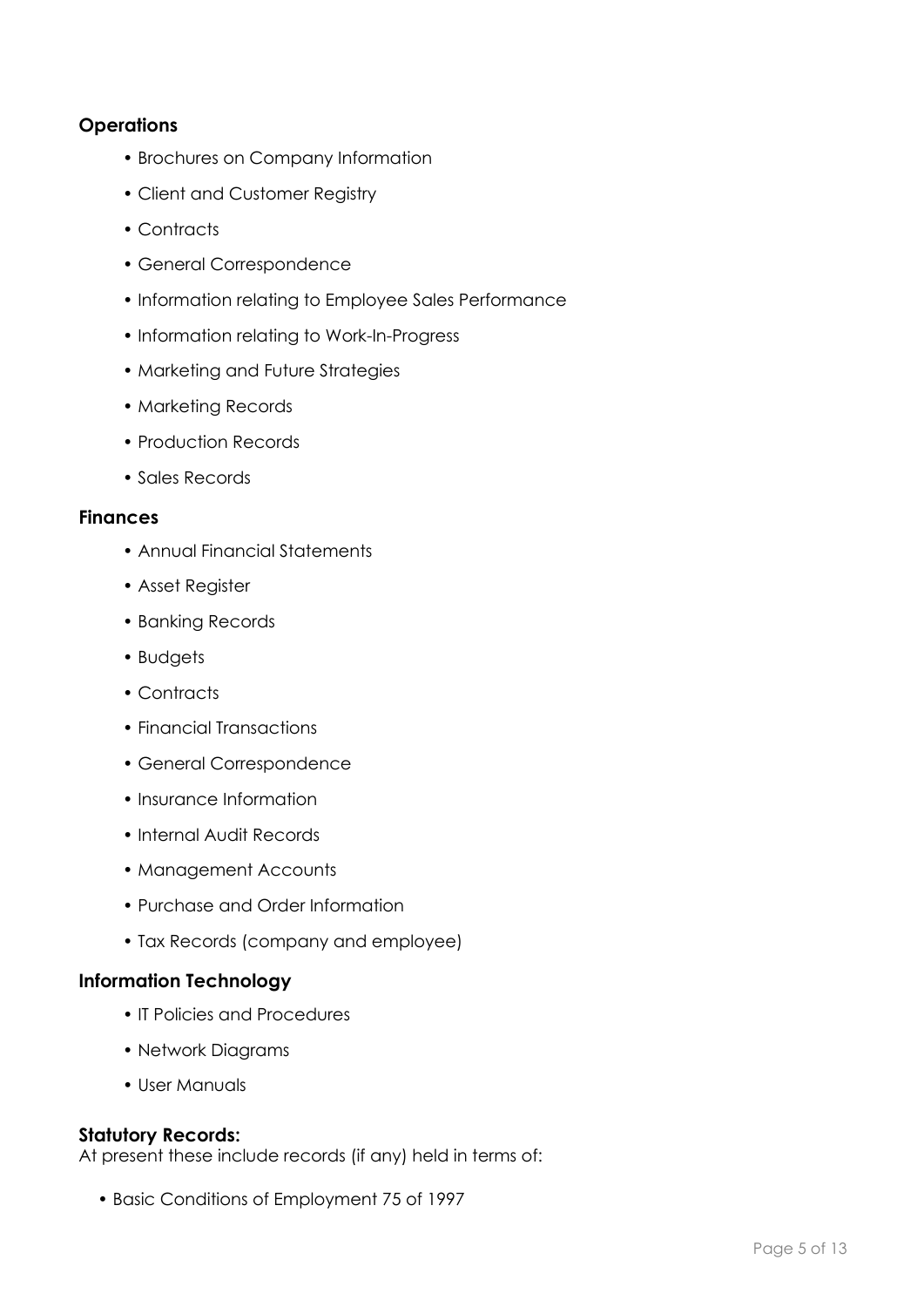### **Operations**

- Brochures on Company Information
- Client and Customer Registry
- Contracts
- General Correspondence
- Information relating to Employee Sales Performance
- Information relating to Work-In-Progress
- Marketing and Future Strategies
- Marketing Records
- Production Records
- Sales Records

#### **Finances**

- Annual Financial Statements
- Asset Register
- Banking Records
- Budgets
- Contracts
- Financial Transactions
- General Correspondence
- Insurance Information
- Internal Audit Records
- Management Accounts
- Purchase and Order Information
- Tax Records (company and employee)

#### **Information Technology**

- IT Policies and Procedures
- Network Diagrams
- User Manuals

#### **Statutory Records:**

At present these include records (if any) held in terms of:

• Basic Conditions of Employment 75 of 1997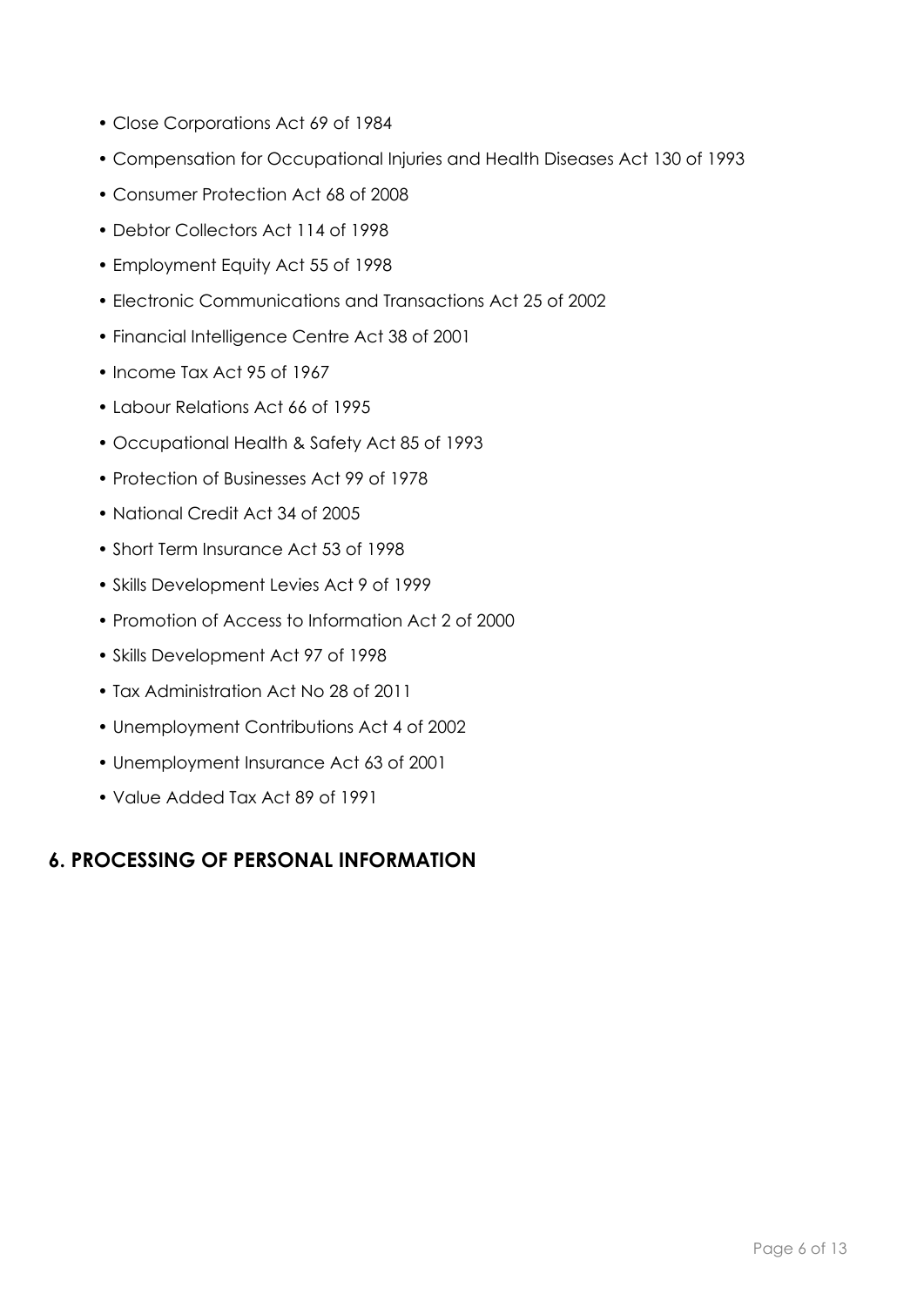- Close Corporations Act 69 of 1984
- Compensation for Occupational Injuries and Health Diseases Act 130 of 1993
- Consumer Protection Act 68 of 2008
- Debtor Collectors Act 114 of 1998
- Employment Equity Act 55 of 1998
- Electronic Communications and Transactions Act 25 of 2002
- Financial Intelligence Centre Act 38 of 2001
- Income Tax Act 95 of 1967
- Labour Relations Act 66 of 1995
- Occupational Health & Safety Act 85 of 1993
- Protection of Businesses Act 99 of 1978
- National Credit Act 34 of 2005
- Short Term Insurance Act 53 of 1998
- Skills Development Levies Act 9 of 1999
- Promotion of Access to Information Act 2 of 2000
- Skills Development Act 97 of 1998
- Tax Administration Act No 28 of 2011
- Unemployment Contributions Act 4 of 2002
- Unemployment Insurance Act 63 of 2001
- Value Added Tax Act 89 of 1991

### **6. PROCESSING OF PERSONAL INFORMATION**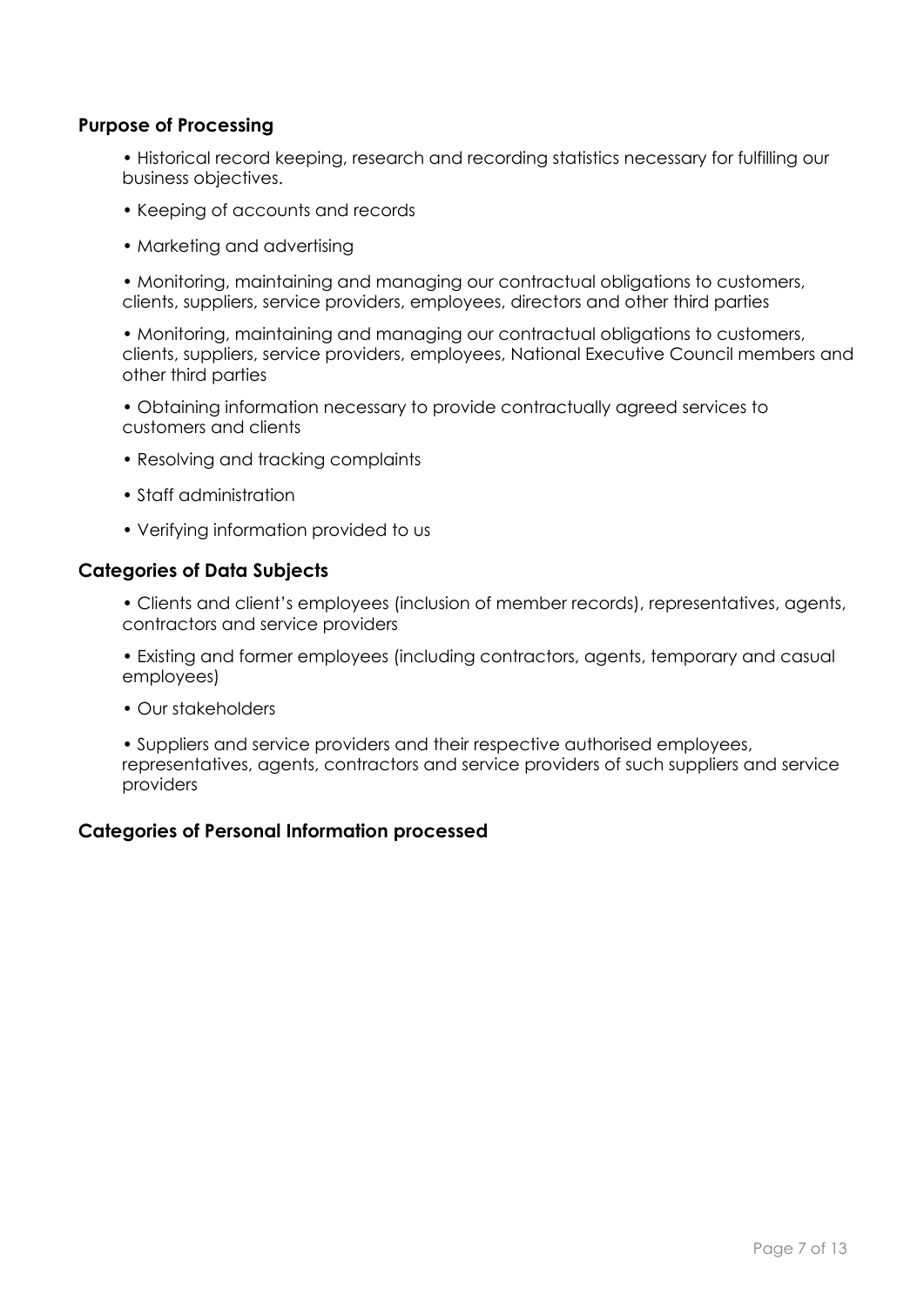#### **Purpose of Processing**

• Historical record keeping, research and recording statistics necessary for fulfilling our business objectives.

- Keeping of accounts and records
- Marketing and advertising

• Monitoring, maintaining and managing our contractual obligations to customers, clients, suppliers, service providers, employees, directors and other third parties

• Monitoring, maintaining and managing our contractual obligations to customers, clients, suppliers, service providers, employees, National Executive Council members and other third parties

- Obtaining information necessary to provide contractually agreed services to customers and clients
- Resolving and tracking complaints
- Staff administration
- Verifying information provided to us

#### **Categories of Data Subjects**

• Clients and client's employees (inclusion of member records), representatives, agents, contractors and service providers

• Existing and former employees (including contractors, agents, temporary and casual employees)

• Our stakeholders

• Suppliers and service providers and their respective authorised employees, representatives, agents, contractors and service providers of such suppliers and service providers

#### **Categories of Personal Information processed**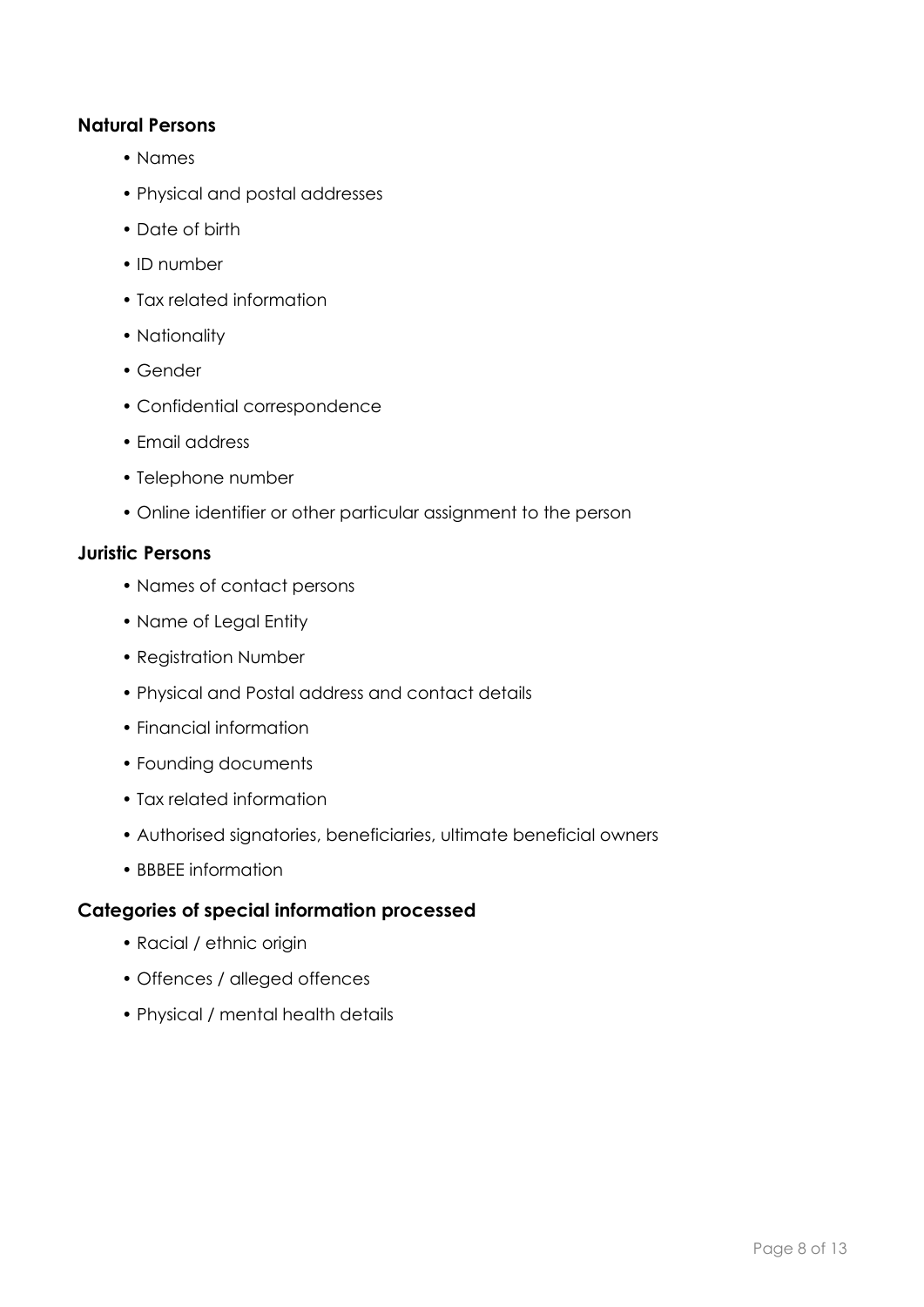#### **Natural Persons**

- Names
- Physical and postal addresses
- Date of birth
- ID number
- Tax related information
- Nationality
- Gender
- Confidential correspondence
- Email address
- Telephone number
- Online identifier or other particular assignment to the person

#### **Juristic Persons**

- Names of contact persons
- Name of Legal Entity
- Registration Number
- Physical and Postal address and contact details
- Financial information
- Founding documents
- Tax related information
- Authorised signatories, beneficiaries, ultimate beneficial owners
- BBBEE information

### **Categories of special information processed**

- Racial / ethnic origin
- Offences / alleged offences
- Physical / mental health details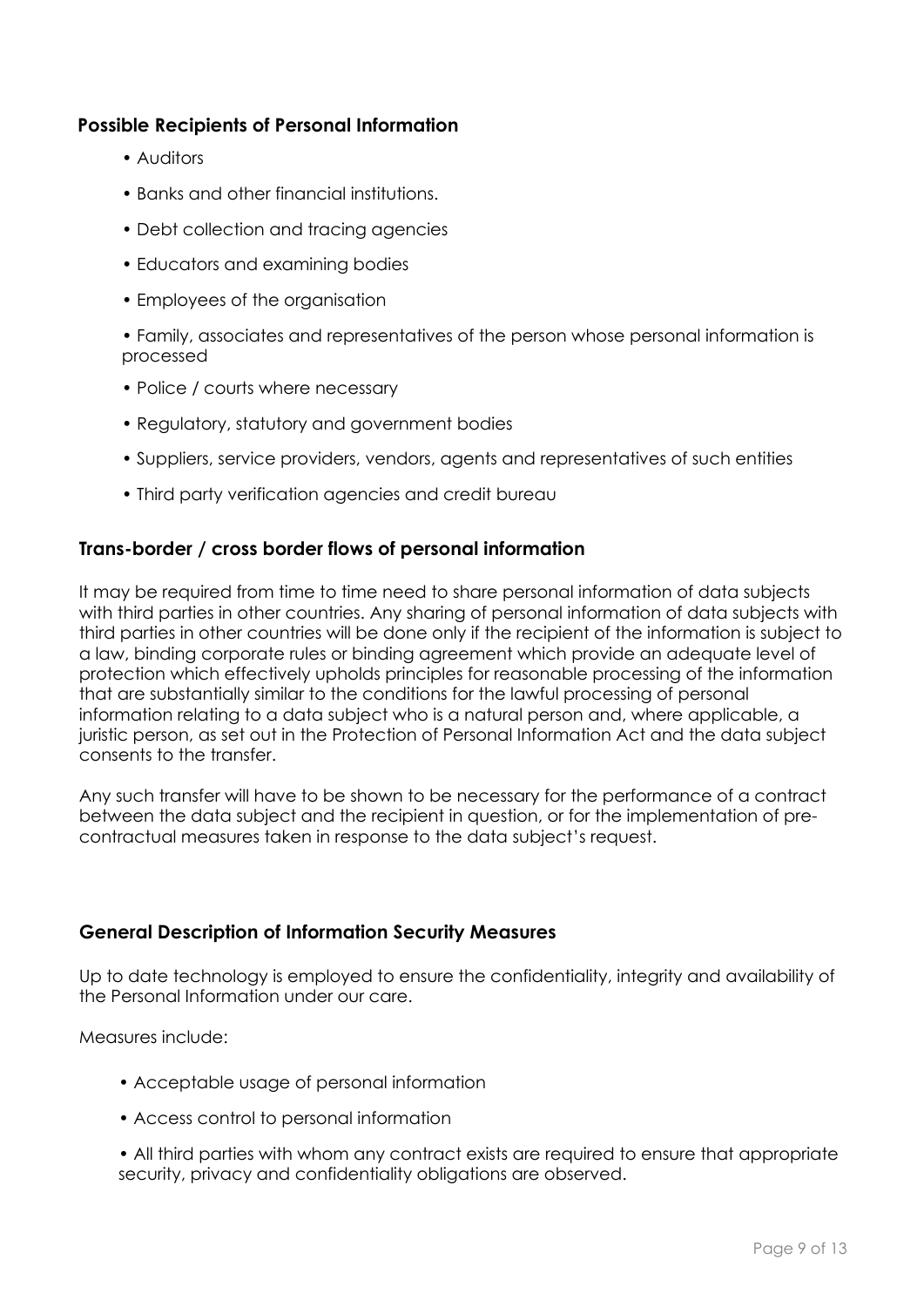#### **Possible Recipients of Personal Information**

- Auditors
- Banks and other financial institutions.
- Debt collection and tracing agencies
- Educators and examining bodies
- Employees of the organisation
- Family, associates and representatives of the person whose personal information is processed
- Police / courts where necessary
- Regulatory, statutory and government bodies
- Suppliers, service providers, vendors, agents and representatives of such entities
- Third party verification agencies and credit bureau

#### **Trans-border / cross border flows of personal information**

It may be required from time to time need to share personal information of data subjects with third parties in other countries. Any sharing of personal information of data subjects with third parties in other countries will be done only if the recipient of the information is subject to a law, binding corporate rules or binding agreement which provide an adequate level of protection which effectively upholds principles for reasonable processing of the information that are substantially similar to the conditions for the lawful processing of personal information relating to a data subject who is a natural person and, where applicable, a juristic person, as set out in the Protection of Personal Information Act and the data subject consents to the transfer.

Any such transfer will have to be shown to be necessary for the performance of a contract between the data subject and the recipient in question, or for the implementation of precontractual measures taken in response to the data subject's request.

#### **General Description of Information Security Measures**

Up to date technology is employed to ensure the confidentiality, integrity and availability of the Personal Information under our care.

Measures include:

- Acceptable usage of personal information
- Access control to personal information
- All third parties with whom any contract exists are required to ensure that appropriate security, privacy and confidentiality obligations are observed.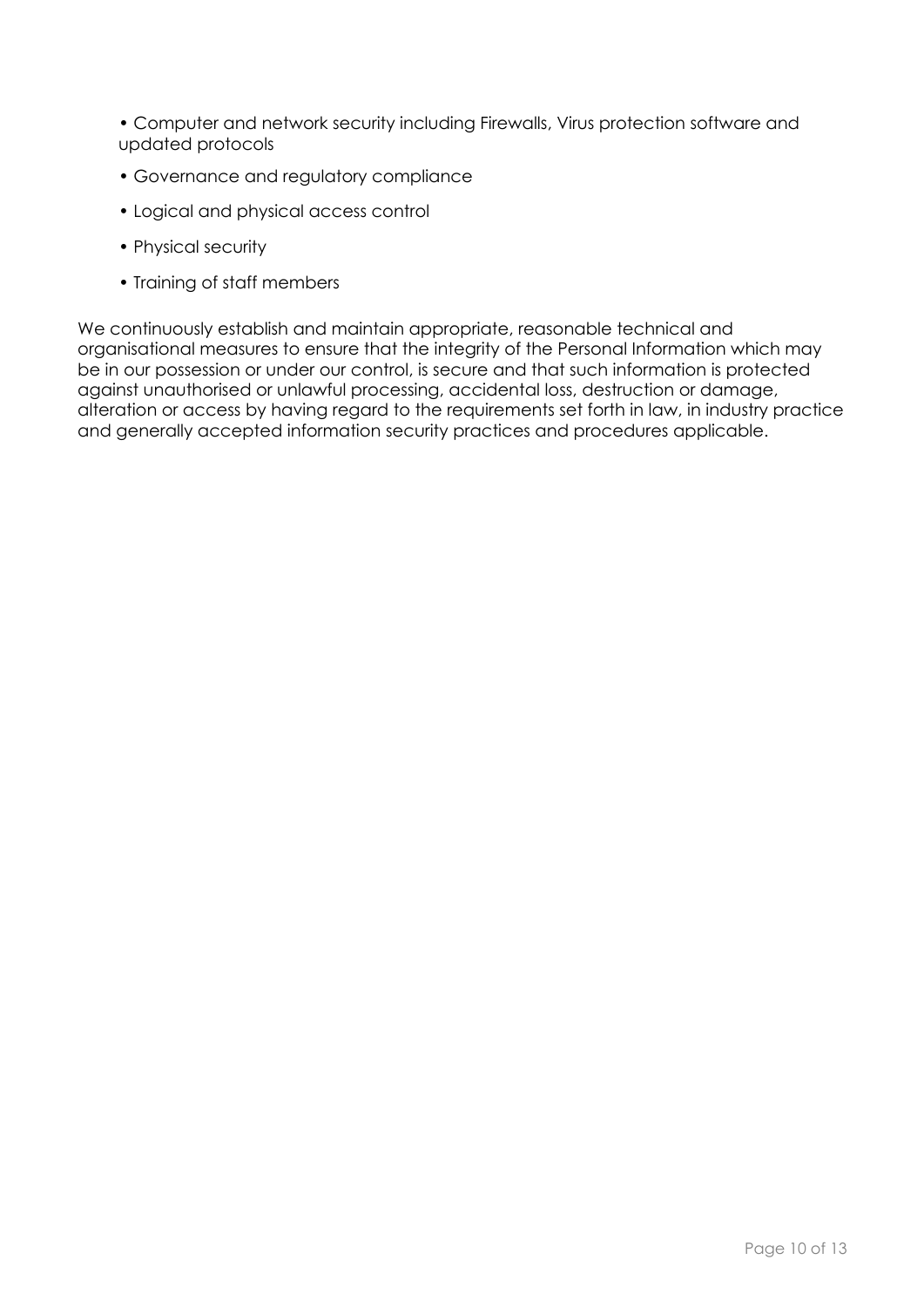• Computer and network security including Firewalls, Virus protection software and updated protocols

- Governance and regulatory compliance
- Logical and physical access control
- Physical security
- Training of staff members

We continuously establish and maintain appropriate, reasonable technical and organisational measures to ensure that the integrity of the Personal Information which may be in our possession or under our control, is secure and that such information is protected against unauthorised or unlawful processing, accidental loss, destruction or damage, alteration or access by having regard to the requirements set forth in law, in industry practice and generally accepted information security practices and procedures applicable.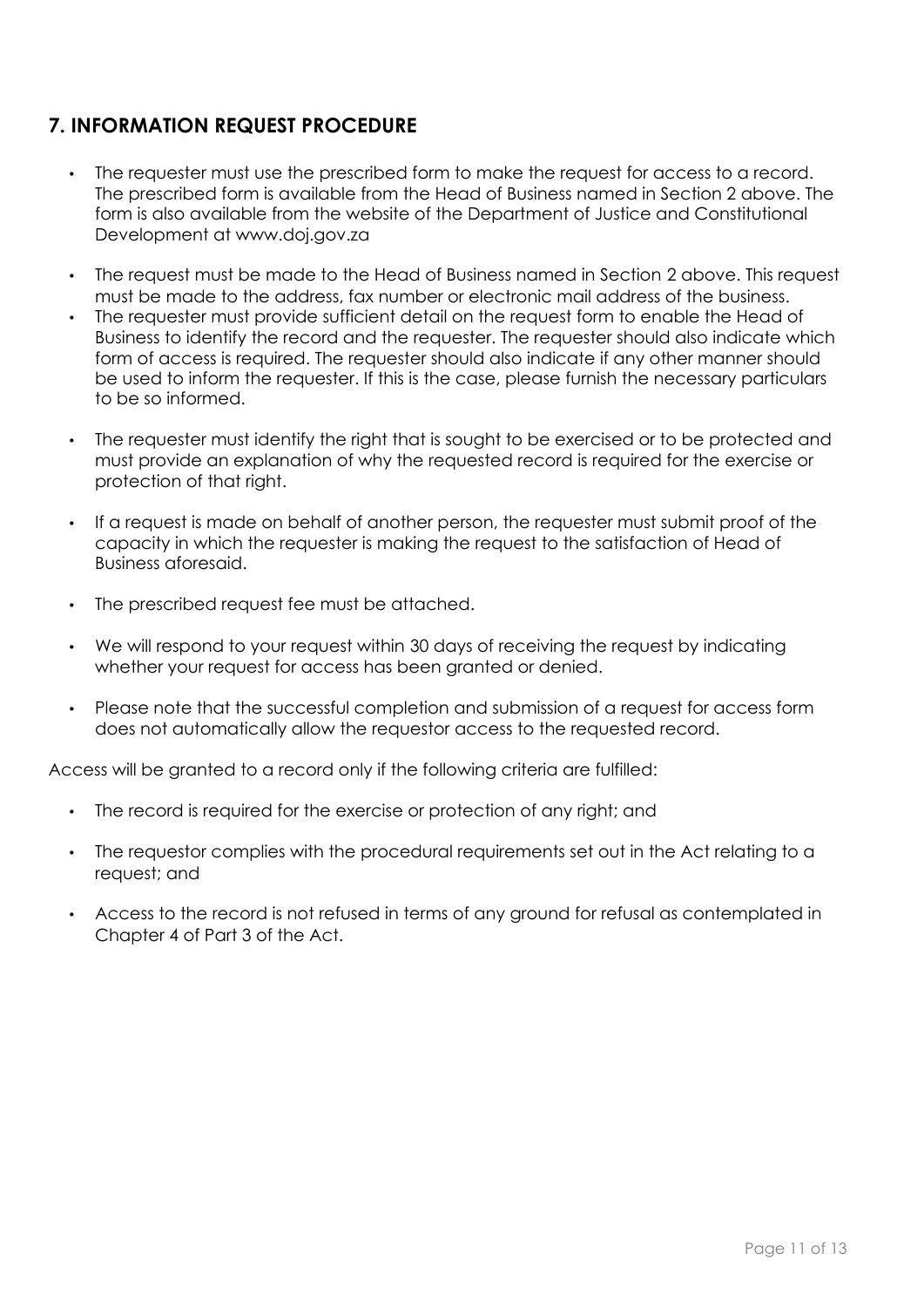## **7. INFORMATION REQUEST PROCEDURE**

- The requester must use the prescribed form to make the request for access to a record. The prescribed form is available from the Head of Business named in Section 2 above. The form is also available from the website of the Department of Justice and Constitutional Development at www.doj.gov.za
- The request must be made to the Head of Business named in Section 2 above. This request must be made to the address, fax number or electronic mail address of the business.
- The requester must provide sufficient detail on the request form to enable the Head of Business to identify the record and the requester. The requester should also indicate which form of access is required. The requester should also indicate if any other manner should be used to inform the requester. If this is the case, please furnish the necessary particulars to be so informed.
- The requester must identify the right that is sought to be exercised or to be protected and must provide an explanation of why the requested record is required for the exercise or protection of that right.
- If a request is made on behalf of another person, the requester must submit proof of the capacity in which the requester is making the request to the satisfaction of Head of Business aforesaid.
- The prescribed request fee must be attached.
- We will respond to your request within 30 days of receiving the request by indicating whether your request for access has been granted or denied.
- Please note that the successful completion and submission of a request for access form does not automatically allow the requestor access to the requested record.

Access will be granted to a record only if the following criteria are fulfilled:

- The record is required for the exercise or protection of any right; and
- The requestor complies with the procedural requirements set out in the Act relating to a request; and
- Access to the record is not refused in terms of any ground for refusal as contemplated in Chapter 4 of Part 3 of the Act.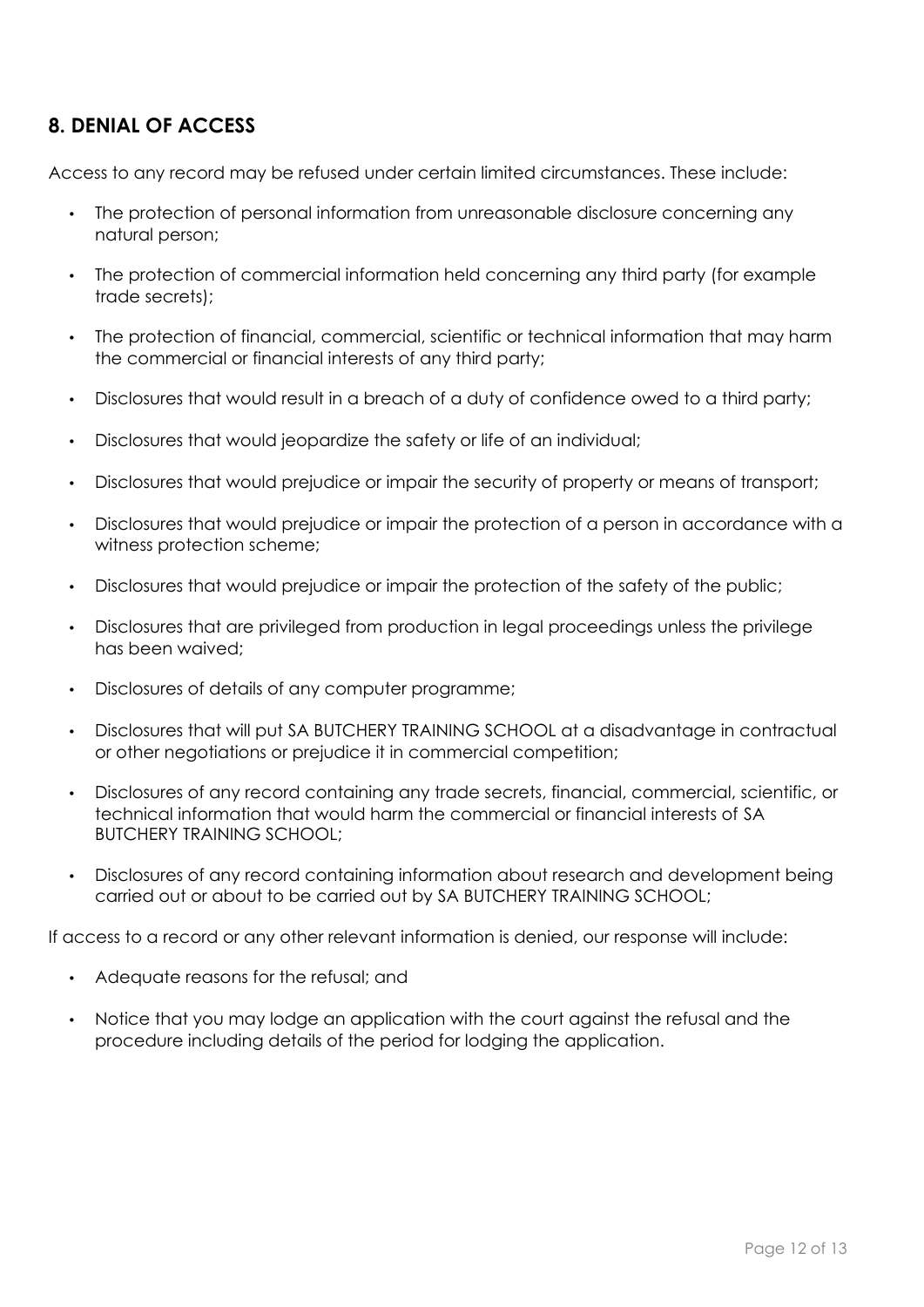## **8. DENIAL OF ACCESS**

Access to any record may be refused under certain limited circumstances. These include:

- The protection of personal information from unreasonable disclosure concerning any natural person;
- The protection of commercial information held concerning any third party (for example trade secrets);
- The protection of financial, commercial, scientific or technical information that may harm the commercial or financial interests of any third party;
- Disclosures that would result in a breach of a duty of confidence owed to a third party;
- Disclosures that would jeopardize the safety or life of an individual;
- Disclosures that would prejudice or impair the security of property or means of transport;
- Disclosures that would prejudice or impair the protection of a person in accordance with a witness protection scheme;
- Disclosures that would prejudice or impair the protection of the safety of the public;
- Disclosures that are privileged from production in legal proceedings unless the privilege has been waived;
- Disclosures of details of any computer programme;
- Disclosures that will put SA BUTCHERY TRAINING SCHOOL at a disadvantage in contractual or other negotiations or prejudice it in commercial competition;
- Disclosures of any record containing any trade secrets, financial, commercial, scientific, or technical information that would harm the commercial or financial interests of SA BUTCHERY TRAINING SCHOOL;
- Disclosures of any record containing information about research and development being carried out or about to be carried out by SA BUTCHERY TRAINING SCHOOL;

If access to a record or any other relevant information is denied, our response will include:

- Adequate reasons for the refusal; and
- Notice that you may lodge an application with the court against the refusal and the procedure including details of the period for lodging the application.